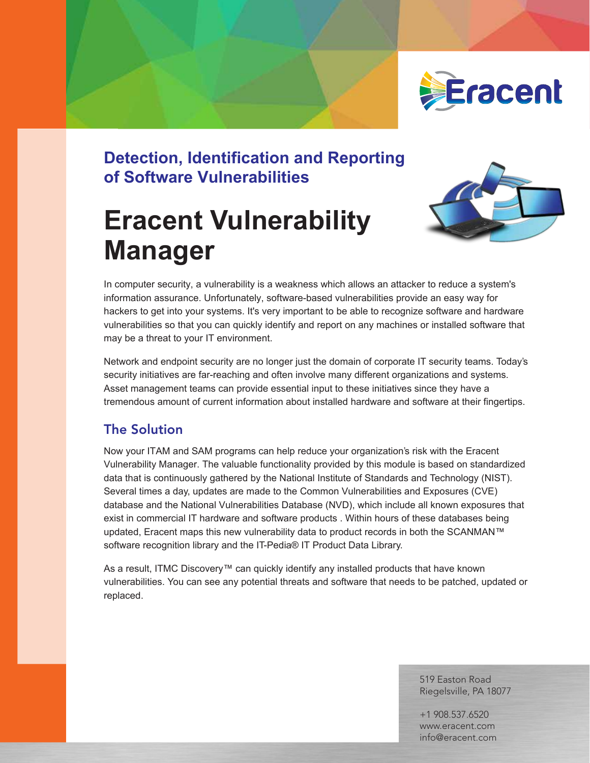

# **Detection, Identification and Reporting of Software Vulnerabilities**

# **Eracent Vulnerability Manager**



In computer security, a vulnerability is a weakness which allows an attacker to reduce a system's information assurance. Unfortunately, software-based vulnerabilities provide an easy way for hackers to get into your systems. It's very important to be able to recognize software and hardware vulnerabilities so that you can quickly identify and report on any machines or installed software that may be a threat to your IT environment.

Network and endpoint security are no longer just the domain of corporate IT security teams. Today's security initiatives are far-reaching and often involve many different organizations and systems. Asset management teams can provide essential input to these initiatives since they have a tremendous amount of current information about installed hardware and software at their fingertips.

## The Solution

Now your ITAM and SAM programs can help reduce your organization's risk with the Eracent Vulnerability Manager. The valuable functionality provided by this module is based on standardized data that is continuously gathered by the National Institute of Standards and Technology (NIST). Several times a day, updates are made to the Common Vulnerabilities and Exposures (CVE) database and the National Vulnerabilities Database (NVD), which include all known exposures that exist in commercial IT hardware and software products . Within hours of these databases being updated, Eracent maps this new vulnerability data to product records in both the SCANMAN™ software recognition library and the IT-Pedia® IT Product Data Library.

As a result, ITMC Discovery™ can quickly identify any installed products that have known vulnerabilities. You can see any potential threats and software that needs to be patched, updated or replaced.

> 519 Easton Road Riegelsville, PA 18077

+1 908.537.6520 www.eracent.com info@eracent.com